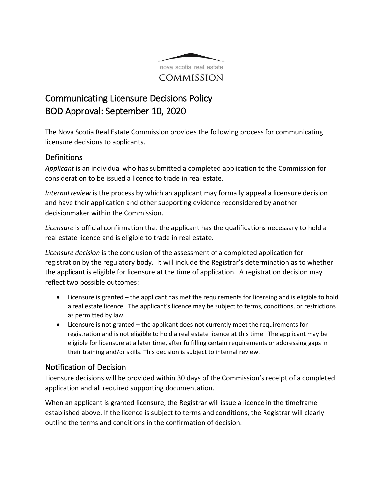

## Communicating Licensure Decisions Policy BOD Approval: September 10, 2020

The Nova Scotia Real Estate Commission provides the following process for communicating licensure decisions to applicants.

## **Definitions**

*Applicant* is an individual who has submitted a completed application to the Commission for consideration to be issued a licence to trade in real estate.

*Internal review* is the process by which an applicant may formally appeal a licensure decision and have their application and other supporting evidence reconsidered by another decisionmaker within the Commission.

*Licensure* is official confirmation that the applicant has the qualifications necessary to hold a real estate licence and is eligible to trade in real estate.

*Licensure decision* is the conclusion of the assessment of a completed application for registration by the regulatory body. It will include the Registrar's determination as to whether the applicant is eligible for licensure at the time of application. A registration decision may reflect two possible outcomes:

- Licensure is granted the applicant has met the requirements for licensing and is eligible to hold a real estate licence. The applicant's licence may be subject to terms, conditions, or restrictions as permitted by law.
- Licensure is not granted the applicant does not currently meet the requirements for registration and is not eligible to hold a real estate licence at this time. The applicant may be eligible for licensure at a later time, after fulfilling certain requirements or addressing gaps in their training and/or skills. This decision is subject to internal review.

## Notification of Decision

Licensure decisions will be provided within 30 days of the Commission's receipt of a completed application and all required supporting documentation.

When an applicant is granted licensure, the Registrar will issue a licence in the timeframe established above. If the licence is subject to terms and conditions, the Registrar will clearly outline the terms and conditions in the confirmation of decision.